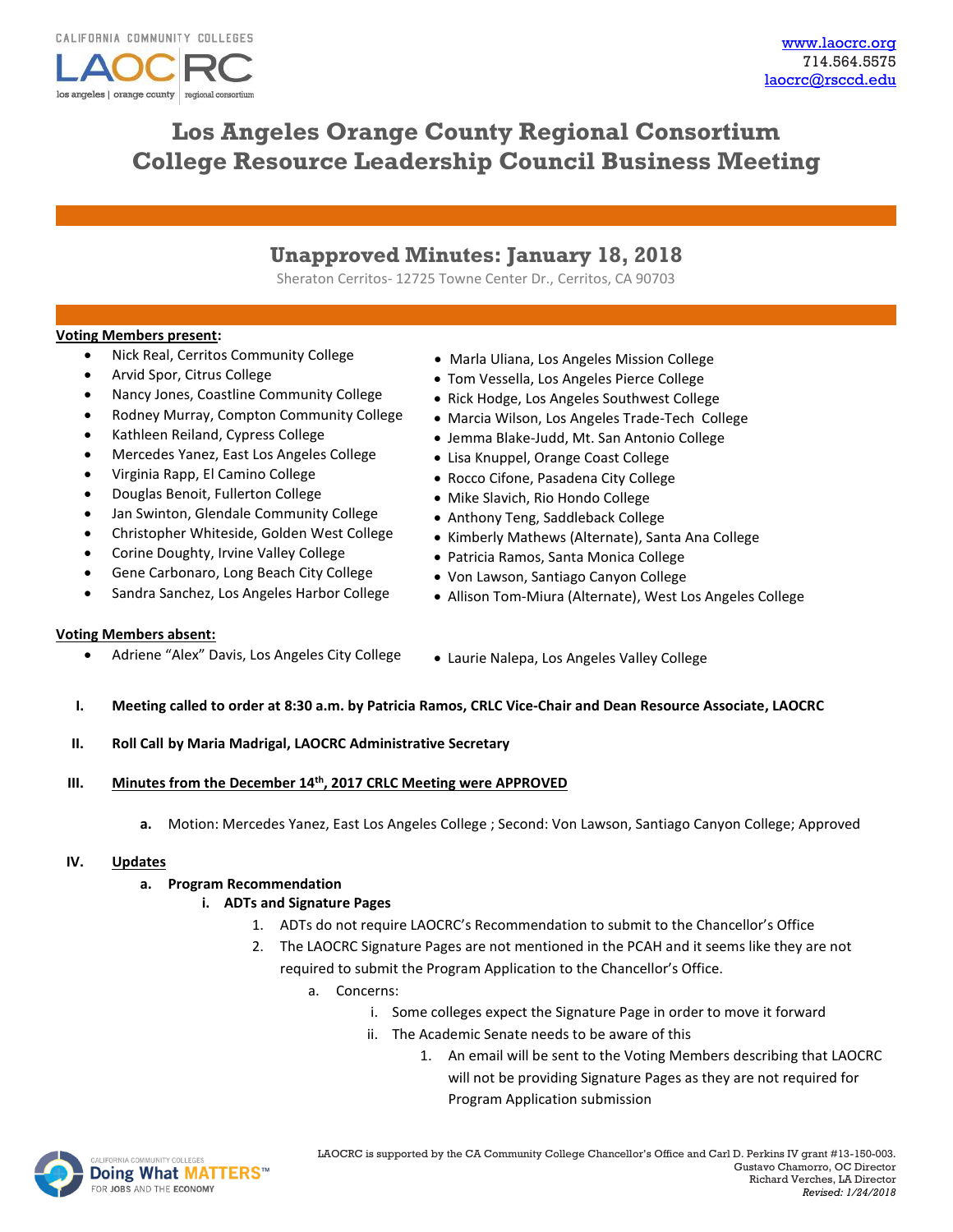

# **Los Angeles Orange County Regional Consortium College Resource Leadership Council Business Meeting**

# **Unapproved Minutes: January 18, 2018**

Sheraton Cerritos- 12725 Towne Center Dr., Cerritos, CA 90703

## **Voting Members present:**

- Nick Real, Cerritos Community College
- Arvid Spor, Citrus College
- Nancy Jones, Coastline Community College
- Rodney Murray, Compton Community College
- Kathleen Reiland, Cypress College
- Mercedes Yanez, East Los Angeles College
- Virginia Rapp, El Camino College
- Douglas Benoit, Fullerton College
- Jan Swinton, Glendale Community College
- Christopher Whiteside, Golden West College
- Corine Doughty, Irvine Valley College
- Gene Carbonaro, Long Beach City College
- Sandra Sanchez, Los Angeles Harbor College
- Marla Uliana, Los Angeles Mission College
- Tom Vessella, Los Angeles Pierce College
- Rick Hodge, Los Angeles Southwest College
- Marcia Wilson, Los Angeles Trade-Tech College
- Jemma Blake-Judd, Mt. San Antonio College
- Lisa Knuppel, Orange Coast College
- Rocco Cifone, Pasadena City College
- Mike Slavich, Rio Hondo College
- Anthony Teng, Saddleback College
- Kimberly Mathews (Alternate), Santa Ana College
- Patricia Ramos, Santa Monica College
- Von Lawson, Santiago Canyon College
- Allison Tom-Miura (Alternate), West Los Angeles College

#### **Voting Members absent:**

- - Adriene "Alex" Davis, Los Angeles City College Laurie Nalepa, Los Angeles Valley College
- **I. Meeting called to order at 8:30 a.m. by Patricia Ramos, CRLC Vice-Chair and Dean Resource Associate, LAOCRC**
- **II. Roll Call by Maria Madrigal, LAOCRC Administrative Secretary**
- **III. Minutes from the December 14th, 2017 CRLC Meeting were APPROVED**
	- **a.** Motion: Mercedes Yanez, East Los Angeles College ; Second: Von Lawson, Santiago Canyon College; Approved

#### **IV. Updates**

#### **a. Program Recommendation**

# **i. ADTs and Signature Pages**

- 1. ADTs do not require LAOCRC's Recommendation to submit to the Chancellor's Office
- 2. The LAOCRC Signature Pages are not mentioned in the PCAH and it seems like they are not required to submit the Program Application to the Chancellor's Office.
	- a. Concerns:
		- i. Some colleges expect the Signature Page in order to move it forward
		- ii. The Academic Senate needs to be aware of this
			- 1. An email will be sent to the Voting Members describing that LAOCRC will not be providing Signature Pages as they are not required for Program Application submission

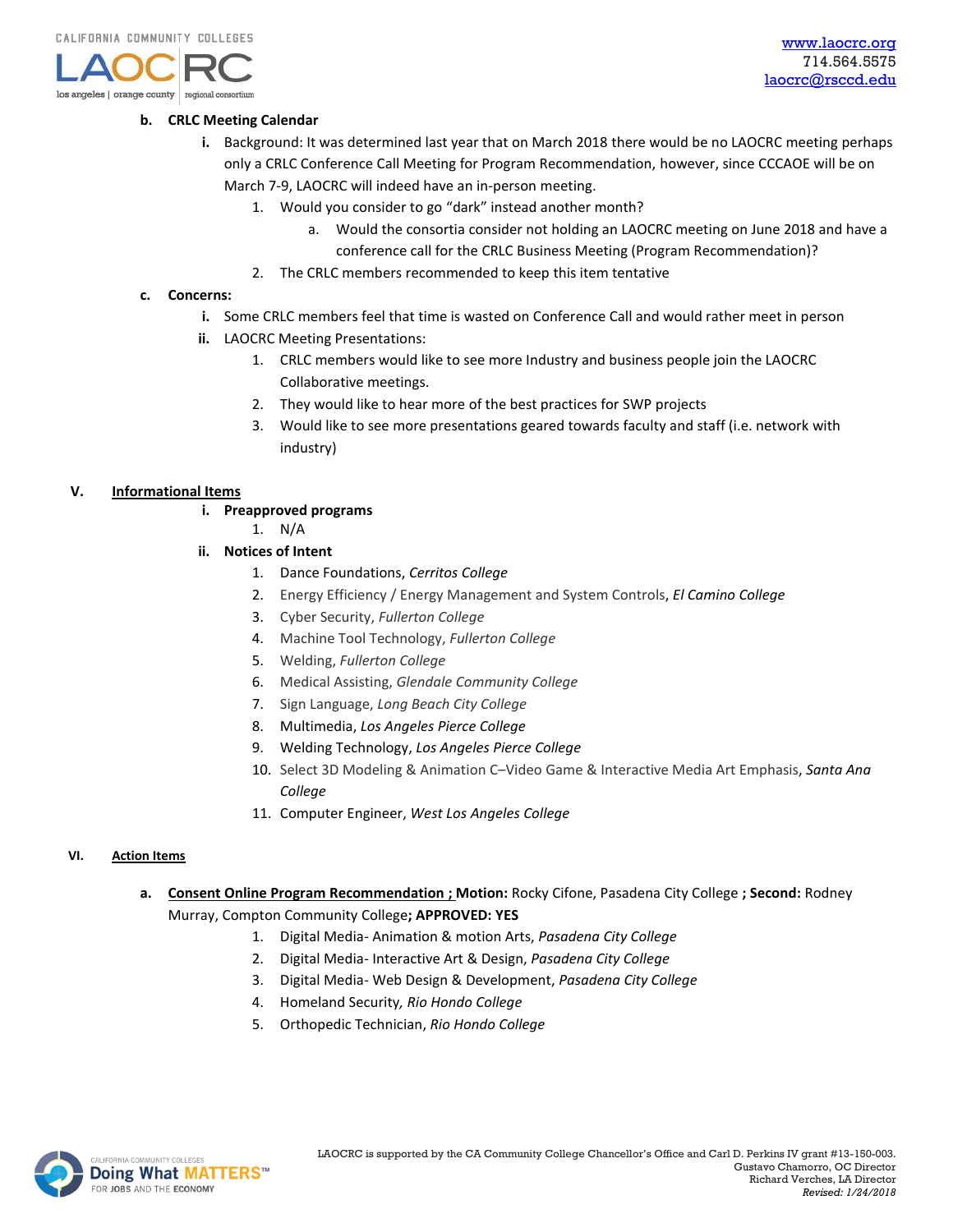

## **b. CRLC Meeting Calendar**

- **i.** Background: It was determined last year that on March 2018 there would be no LAOCRC meeting perhaps only a CRLC Conference Call Meeting for Program Recommendation, however, since CCCAOE will be on March 7-9, LAOCRC will indeed have an in-person meeting.
	- 1. Would you consider to go "dark" instead another month?
		- a. Would the consortia consider not holding an LAOCRC meeting on June 2018 and have a conference call for the CRLC Business Meeting (Program Recommendation)?
	- 2. The CRLC members recommended to keep this item tentative

# **c. Concerns:**

- **i.** Some CRLC members feel that time is wasted on Conference Call and would rather meet in person
- **ii.** LAOCRC Meeting Presentations:
	- 1. CRLC members would like to see more Industry and business people join the LAOCRC Collaborative meetings.
	- 2. They would like to hear more of the best practices for SWP projects
	- 3. Would like to see more presentations geared towards faculty and staff (i.e. network with industry)

## **V. Informational Items**

- **i. Preapproved programs**
	- 1. N/A
- **ii. Notices of Intent**
	- 1. Dance Foundations, *Cerritos College*
	- 2. Energy Efficiency / Energy Management and System Controls, *El Camino College*
	- 3. Cyber Security, *Fullerton College*
	- 4. Machine Tool Technology, *Fullerton College*
	- 5. Welding, *Fullerton College*
	- 6. Medical Assisting, *Glendale Community College*
	- 7. Sign Language, *Long Beach City College*
	- 8. Multimedia, *Los Angeles Pierce College*
	- 9. Welding Technology, *Los Angeles Pierce College*
	- 10. Select 3D Modeling & Animation C–Video Game & Interactive Media Art Emphasis, *Santa Ana College*
	- 11. Computer Engineer, *West Los Angeles College*

#### **VI. Action Items**

- **a. Consent Online Program Recommendation ; Motion:** Rocky Cifone, Pasadena City College **; Second:** Rodney Murray, Compton Community College**; APPROVED: YES**
	- 1. Digital Media- Animation & motion Arts, *Pasadena City College*
		- 2. Digital Media- Interactive Art & Design, *Pasadena City College*
		- 3. Digital Media- Web Design & Development, *Pasadena City College*
		- 4. Homeland Security*, Rio Hondo College*
		- 5. Orthopedic Technician, *Rio Hondo College*

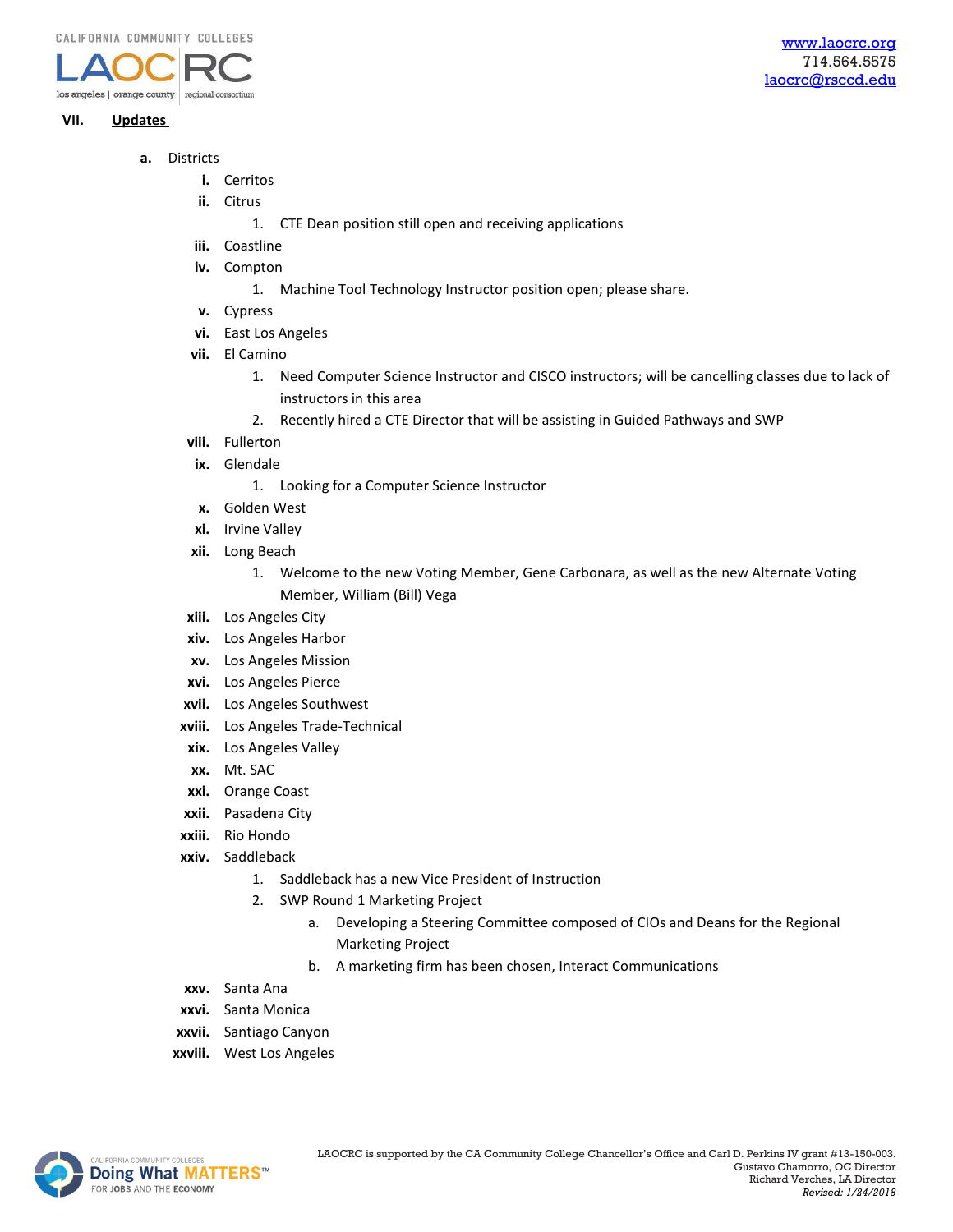

# **VII. Updates**

- **a.** Districts
	- **i.** Cerritos
	- **ii.** Citrus
		- 1. CTE Dean position still open and receiving applications
	- **iii.** Coastline
	- **iv.** Compton
		- 1. Machine Tool Technology Instructor position open; please share.
	- **v.** Cypress
	- **vi.** East Los Angeles
	- **vii.** El Camino
		- 1. Need Computer Science Instructor and CISCO instructors; will be cancelling classes due to lack of instructors in this area
		- 2. Recently hired a CTE Director that will be assisting in Guided Pathways and SWP
	- **viii.** Fullerton
	- **ix.** Glendale
		- 1. Looking for a Computer Science Instructor
	- **x.** Golden West
	- **xi.** Irvine Valley
	- **xii.** Long Beach
		- 1. Welcome to the new Voting Member, Gene Carbonara, as well as the new Alternate Voting Member, William (Bill) Vega
	- **xiii.** Los Angeles City
	- **xiv.** Los Angeles Harbor
	- **xv.** Los Angeles Mission
	- **xvi.** Los Angeles Pierce
	- **xvii.** Los Angeles Southwest
	- **xviii.** Los Angeles Trade-Technical
	- **xix.** Los Angeles Valley
	- **xx.** Mt. SAC
	- **xxi.** Orange Coast
	- **xxii.** Pasadena City
	- **xxiii.** Rio Hondo
	- **xxiv.** Saddleback
		- 1. Saddleback has a new Vice President of Instruction
		- 2. SWP Round 1 Marketing Project
			- a. Developing a Steering Committee composed of CIOs and Deans for the Regional Marketing Project
			- b. A marketing firm has been chosen, Interact Communications
	- **xxv.** Santa Ana
	- **xxvi.** Santa Monica
	- **xxvii.** Santiago Canyon
	- **xxviii.** West Los Angeles